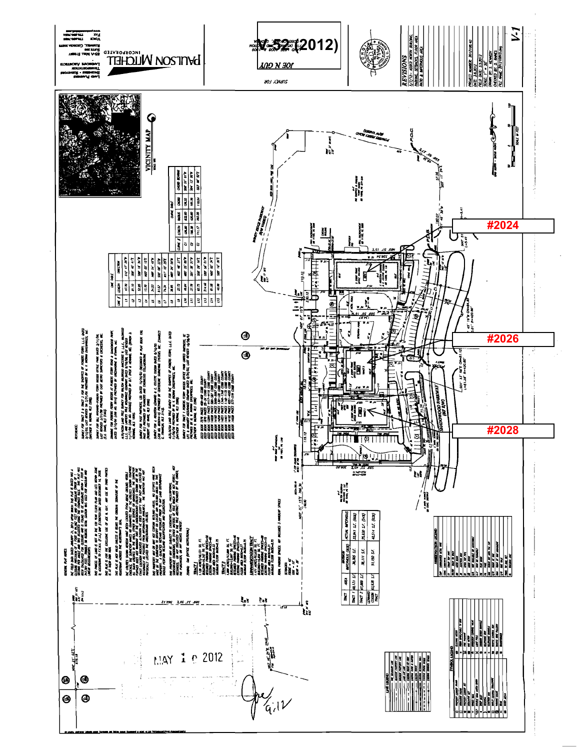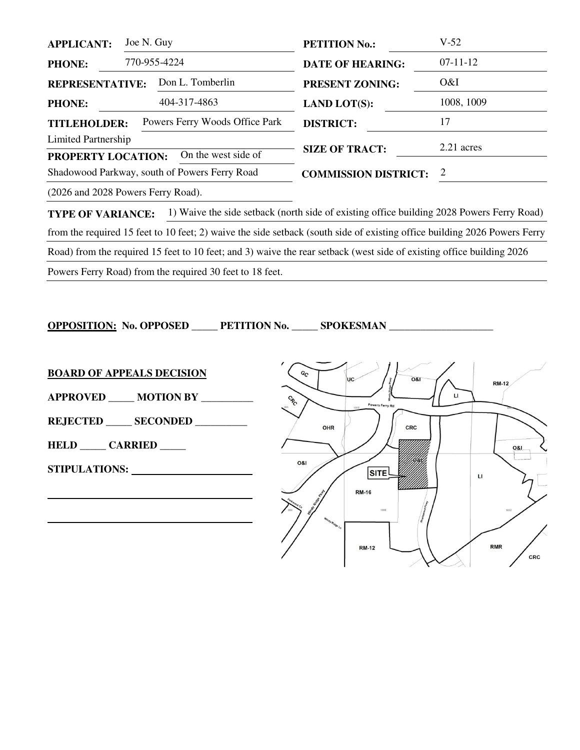| <b>APPLICANT:</b>                             | Joe N. Guy                         | <b>PETITION No.:</b>        | $V-52$     |
|-----------------------------------------------|------------------------------------|-----------------------------|------------|
| <b>PHONE:</b>                                 | 770-955-4224                       | <b>DATE OF HEARING:</b>     | $07-11-12$ |
| <b>REPRESENTATIVE:</b>                        | Don L. Tomberlin                   | <b>PRESENT ZONING:</b>      | O&I        |
| <b>PHONE:</b>                                 | 404-317-4863                       | <b>LAND LOT(S):</b>         | 1008, 1009 |
| <b>TITLEHOLDER:</b>                           | Powers Ferry Woods Office Park     | <b>DISTRICT:</b>            | 17         |
| Limited Partnership                           |                                    |                             | 2.21 acres |
| On the west side of<br>PROPERTY LOCATION:     |                                    | <b>SIZE OF TRACT:</b>       |            |
| Shadowood Parkway, south of Powers Ferry Road |                                    | <b>COMMISSION DISTRICT:</b> | 2          |
|                                               | (2026 and 2028 Powers Ferry Road). |                             |            |

**TYPE OF VARIANCE:** 1) Waive the side setback (north side of existing office building 2028 Powers Ferry Road) from the required 15 feet to 10 feet; 2) waive the side setback (south side of existing office building 2026 Powers Ferry Road) from the required 15 feet to 10 feet; and 3) waive the rear setback (west side of existing office building 2026 Powers Ferry Road) from the required 30 feet to 18 feet.

**OPPOSITION: No. OPPOSED \_\_\_\_\_ PETITION No. \_\_\_\_\_ SPOKESMAN \_\_\_\_\_\_\_\_\_\_\_\_\_\_\_\_\_\_\_\_** 



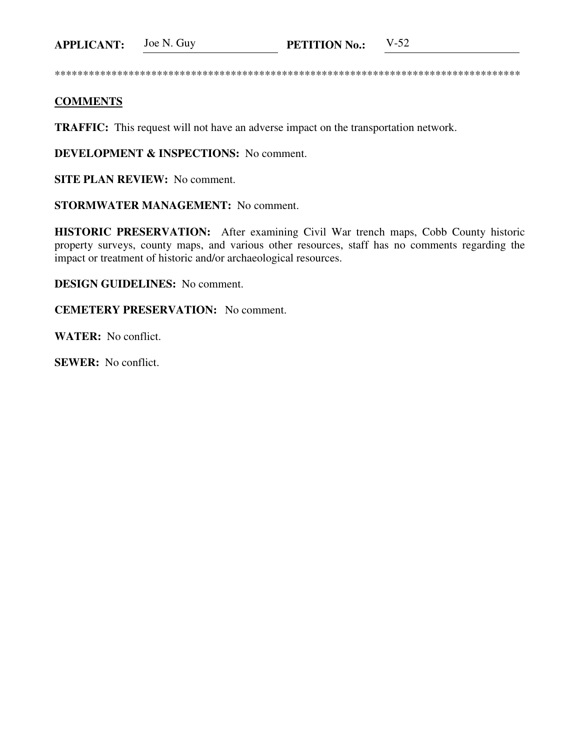\*\*\*\*\*\*\*\*\*\*\*\*\*\*\*\*\*\*\*\*\*\*\*\*\*\*\*\*\*\*\*\*\*\*\*\*\*\*\*\*\*\*\*\*\*\*\*\*\*\*\*\*\*\*\*\*\*\*\*\*\*\*\*\*\*\*\*\*\*\*\*\*\*\*\*\*\*\*\*\*\*\*

## **COMMENTS**

**TRAFFIC:** This request will not have an adverse impact on the transportation network.

**DEVELOPMENT & INSPECTIONS:** No comment.

**SITE PLAN REVIEW:** No comment.

**STORMWATER MANAGEMENT:** No comment.

**HISTORIC PRESERVATION:** After examining Civil War trench maps, Cobb County historic property surveys, county maps, and various other resources, staff has no comments regarding the impact or treatment of historic and/or archaeological resources.

**DESIGN GUIDELINES:** No comment.

**CEMETERY PRESERVATION:** No comment.

**WATER:** No conflict.

**SEWER:** No conflict.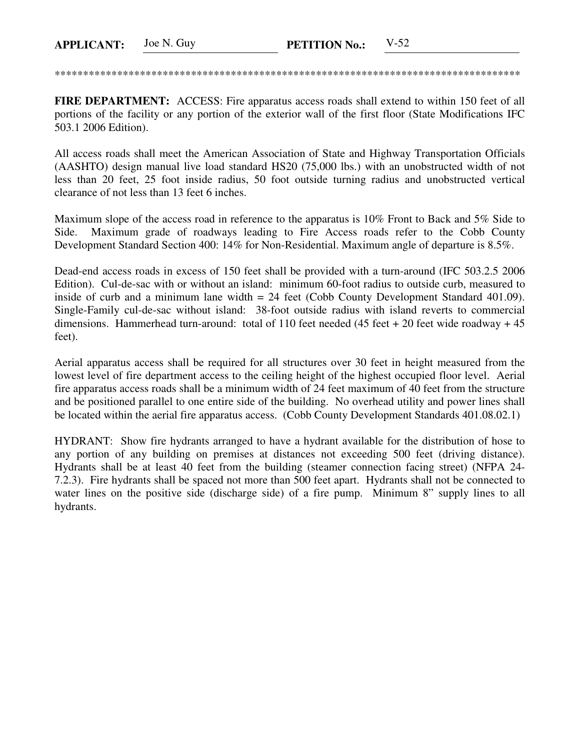\*\*\*\*\*\*\*\*\*\*\*\*\*\*\*\*\*\*\*\*\*\*\*\*\*\*\*\*\*\*\*\*\*\*\*\*\*\*\*\*\*\*\*\*\*\*\*\*\*\*\*\*\*\*\*\*\*\*\*\*\*\*\*\*\*\*\*\*\*\*\*\*\*\*\*\*\*\*\*\*\*\*

**FIRE DEPARTMENT:** ACCESS: Fire apparatus access roads shall extend to within 150 feet of all portions of the facility or any portion of the exterior wall of the first floor (State Modifications IFC 503.1 2006 Edition).

All access roads shall meet the American Association of State and Highway Transportation Officials (AASHTO) design manual live load standard HS20 (75,000 lbs.) with an unobstructed width of not less than 20 feet, 25 foot inside radius, 50 foot outside turning radius and unobstructed vertical clearance of not less than 13 feet 6 inches.

Maximum slope of the access road in reference to the apparatus is 10% Front to Back and 5% Side to Side. Maximum grade of roadways leading to Fire Access roads refer to the Cobb County Development Standard Section 400: 14% for Non-Residential. Maximum angle of departure is 8.5%.

Dead-end access roads in excess of 150 feet shall be provided with a turn-around (IFC 503.2.5 2006 Edition). Cul-de-sac with or without an island: minimum 60-foot radius to outside curb, measured to inside of curb and a minimum lane width = 24 feet (Cobb County Development Standard 401.09). Single-Family cul-de-sac without island: 38-foot outside radius with island reverts to commercial dimensions. Hammerhead turn-around: total of 110 feet needed (45 feet + 20 feet wide roadway + 45 feet).

Aerial apparatus access shall be required for all structures over 30 feet in height measured from the lowest level of fire department access to the ceiling height of the highest occupied floor level. Aerial fire apparatus access roads shall be a minimum width of 24 feet maximum of 40 feet from the structure and be positioned parallel to one entire side of the building. No overhead utility and power lines shall be located within the aerial fire apparatus access. (Cobb County Development Standards 401.08.02.1)

HYDRANT: Show fire hydrants arranged to have a hydrant available for the distribution of hose to any portion of any building on premises at distances not exceeding 500 feet (driving distance). Hydrants shall be at least 40 feet from the building (steamer connection facing street) (NFPA 24- 7.2.3). Fire hydrants shall be spaced not more than 500 feet apart. Hydrants shall not be connected to water lines on the positive side (discharge side) of a fire pump. Minimum 8" supply lines to all hydrants.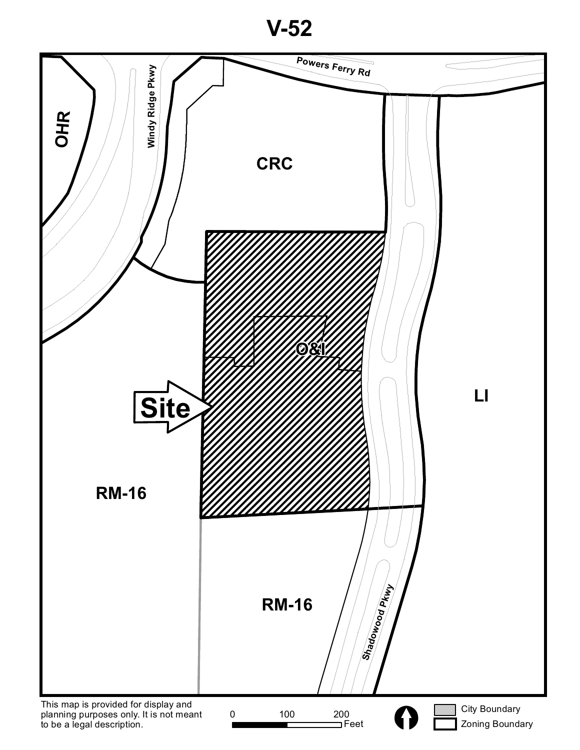**V-52**